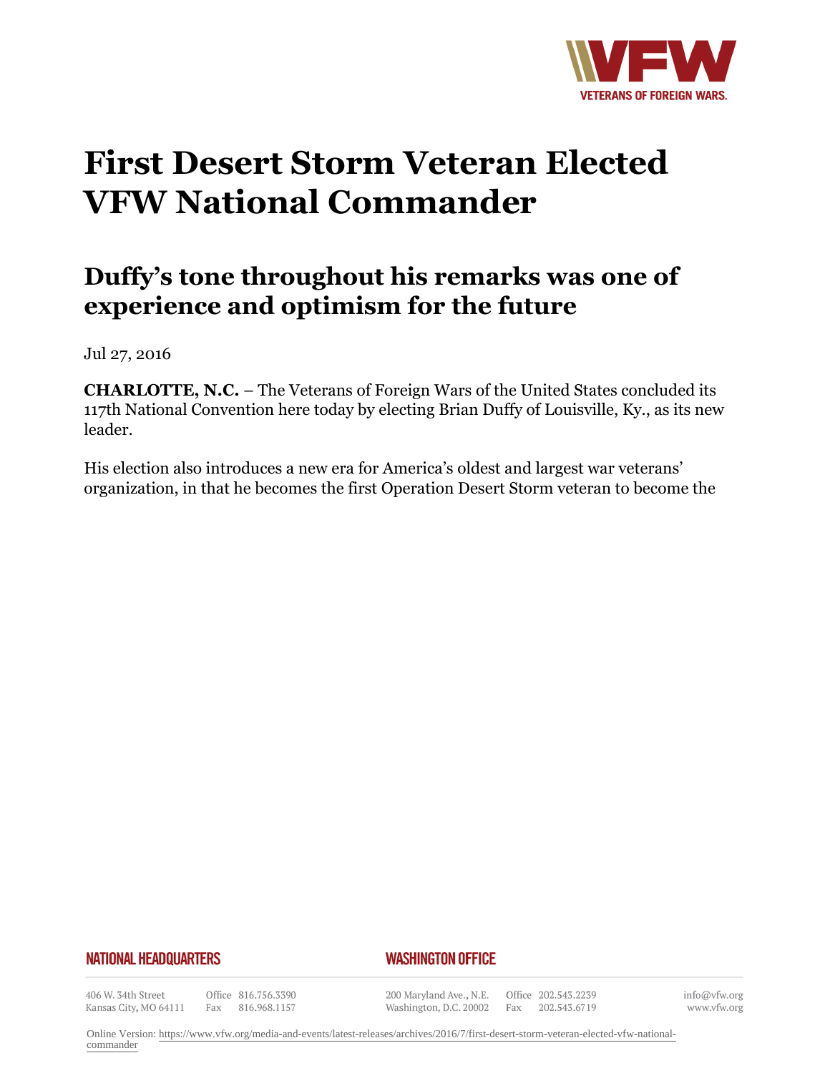

## **First Desert Storm Veteran Elected VFW National Commander**

## **Duffy's tone throughout his remarks was one of experience and optimism for the future**

Jul 27, 2016

**CHARLOTTE, N.C.** – The Veterans of Foreign Wars of the United States concluded its 117th National Convention here today by electing Brian Duffy of Louisville, Ky., as its new leader.

His election also introduces a new era for America's oldest and largest war veterans' organization, in that he becomes the first Operation Desert Storm veteran to become the

## **NATIONAL HEADQUARTERS**

## *WASHINGTON OFFICE*

406 W. 34th Street Kansas City, MO 64111

Office 816.756.3390 Fax 816.968.1157

200 Maryland Ave., N.E. Washington, D.C. 20002

Office 202.543.2239 Fax 202.543.6719

info@vfw.org www.vfw.org

Online Version: [https://www.vfw.org/media-and-events/latest-releases/archives/2016/7/first-desert-storm-veteran-elected-vfw-national](https://www.vfw.org/media-and-events/latest-releases/archives/2016/7/first-desert-storm-veteran-elected-vfw-national-commander)[commander](https://www.vfw.org/media-and-events/latest-releases/archives/2016/7/first-desert-storm-veteran-elected-vfw-national-commander)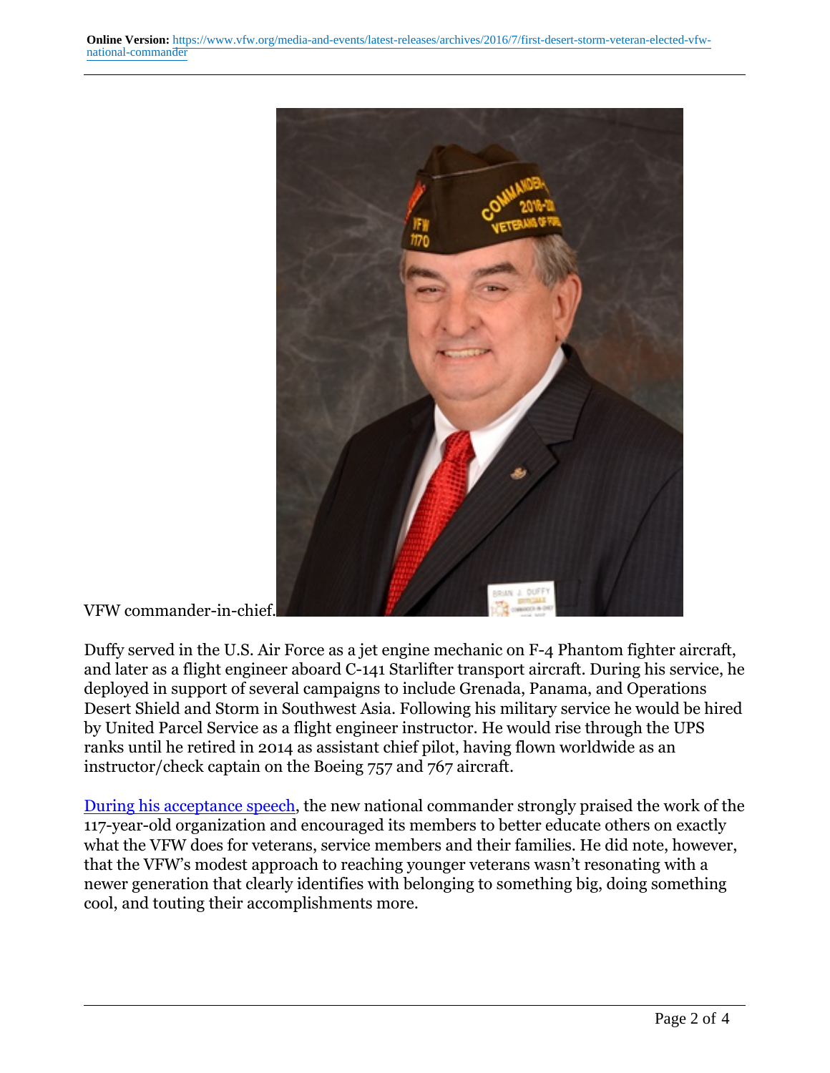

VFW commander-in-chief.

Duffy served in the U.S. Air Force as a jet engine mechanic on F-4 Phantom fighter aircraft, and later as a flight engineer aboard C-141 Starlifter transport aircraft. During his service, he deployed in support of several campaigns to include Grenada, Panama, and Operations Desert Shield and Storm in Southwest Asia. Following his military service he would be hired by United Parcel Service as a flight engineer instructor. He would rise through the UPS ranks until he retired in 2014 as assistant chief pilot, having flown worldwide as an instructor/check captain on the Boeing 757 and 767 aircraft.

[During his acceptance speech,](http://vfworg-cdn.azureedge.net/-/media/VFWSite/Files/Media-and-Events/Articles/2016/Commander-Duffy-Acceptance-Speech.pdf?la=en&v=1&d=20160818T171033Z) the new national commander strongly praised the work of the 117-year-old organization and encouraged its members to better educate others on exactly what the VFW does for veterans, service members and their families. He did note, however, that the VFW's modest approach to reaching younger veterans wasn't resonating with a newer generation that clearly identifies with belonging to something big, doing something cool, and touting their accomplishments more.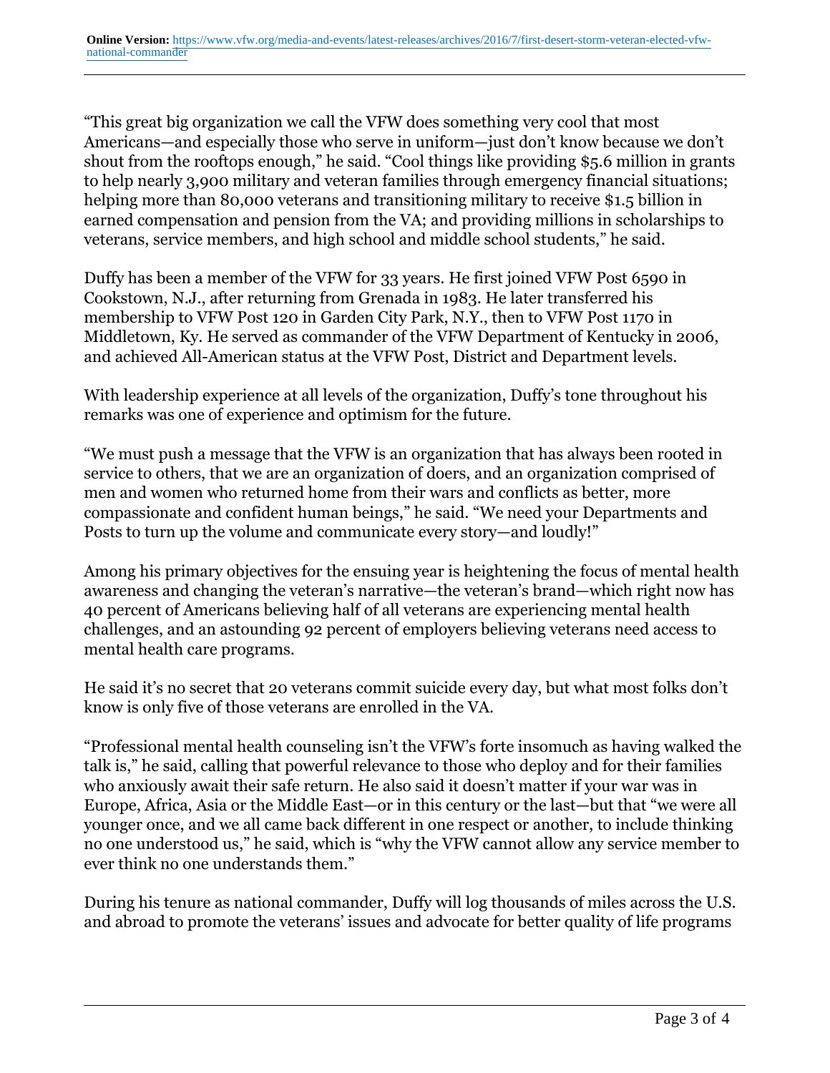"This great big organization we call the VFW does something very cool that most Americans—and especially those who serve in uniform—just don't know because we don't shout from the rooftops enough," he said. "Cool things like providing \$5.6 million in grants to help nearly 3,900 military and veteran families through emergency financial situations; helping more than 80,000 veterans and transitioning military to receive \$1.5 billion in earned compensation and pension from the VA; and providing millions in scholarships to veterans, service members, and high school and middle school students," he said.

Duffy has been a member of the VFW for 33 years. He first joined VFW Post 6590 in Cookstown, N.J., after returning from Grenada in 1983. He later transferred his membership to VFW Post 120 in Garden City Park, N.Y., then to VFW Post 1170 in Middletown, Ky. He served as commander of the VFW Department of Kentucky in 2006, and achieved All-American status at the VFW Post, District and Department levels.

With leadership experience at all levels of the organization, Duffy's tone throughout his remarks was one of experience and optimism for the future.

"We must push a message that the VFW is an organization that has always been rooted in service to others, that we are an organization of doers, and an organization comprised of men and women who returned home from their wars and conflicts as better, more compassionate and confident human beings," he said. "We need your Departments and Posts to turn up the volume and communicate every story—and loudly!"

Among his primary objectives for the ensuing year is heightening the focus of mental health awareness and changing the veteran's narrative—the veteran's brand—which right now has 40 percent of Americans believing half of all veterans are experiencing mental health challenges, and an astounding 92 percent of employers believing veterans need access to mental health care programs.

He said it's no secret that 20 veterans commit suicide every day, but what most folks don't know is only five of those veterans are enrolled in the VA.

"Professional mental health counseling isn't the VFW's forte insomuch as having walked the talk is," he said, calling that powerful relevance to those who deploy and for their families who anxiously await their safe return. He also said it doesn't matter if your war was in Europe, Africa, Asia or the Middle East—or in this century or the last—but that "we were all younger once, and we all came back different in one respect or another, to include thinking no one understood us," he said, which is "why the VFW cannot allow any service member to ever think no one understands them."

During his tenure as national commander, Duffy will log thousands of miles across the U.S. and abroad to promote the veterans' issues and advocate for better quality of life programs